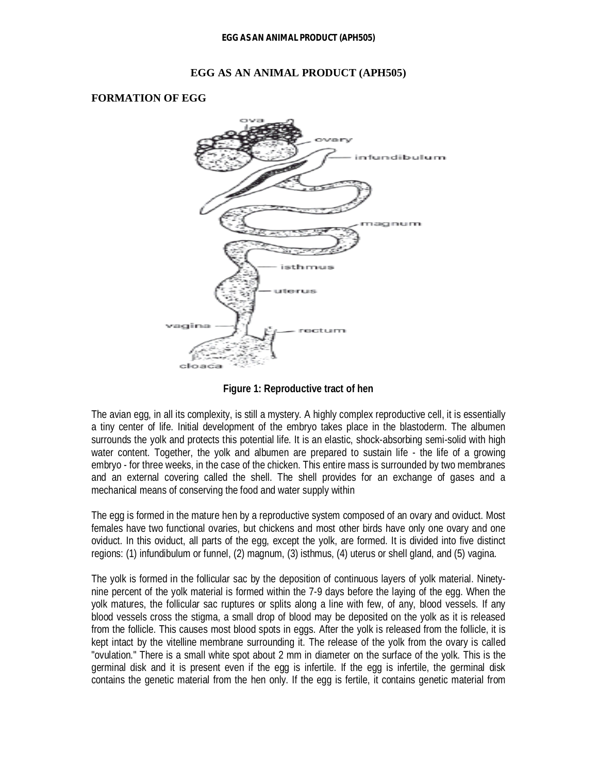#### **EGG AS AN ANIMAL PRODUCT (APH505)**

#### **FORMATION OF EGG**



**Figure 1: Reproductive tract of hen**

The avian egg, in all its complexity, is still a mystery. A highly complex reproductive cell, it is essentially a tiny center of life. Initial development of the embryo takes place in the blastoderm. The albumen surrounds the yolk and protects this potential life. It is an elastic, shock-absorbing semi-solid with high water content. Together, the yolk and albumen are prepared to sustain life - the life of a growing embryo - for three weeks, in the case of the chicken. This entire mass is surrounded by two membranes and an external covering called the shell. The shell provides for an exchange of gases and a mechanical means of conserving the food and water supply within

The egg is formed in the mature hen by a reproductive system composed of an ovary and oviduct. Most females have two functional ovaries, but chickens and most other birds have only one ovary and one oviduct. In this oviduct, all parts of the egg, except the yolk, are formed. It is divided into five distinct regions: (1) infundibulum or funnel, (2) magnum, (3) isthmus, (4) uterus or shell gland, and (5) vagina.

The yolk is formed in the follicular sac by the deposition of continuous layers of yolk material. Ninetynine percent of the yolk material is formed within the 7-9 days before the laying of the egg. When the yolk matures, the follicular sac ruptures or splits along a line with few, of any, blood vessels. If any blood vessels cross the stigma, a small drop of blood may be deposited on the yolk as it is released from the follicle. This causes most blood spots in eggs. After the yolk is released from the follicle, it is kept intact by the vitelline membrane surrounding it. The release of the yolk from the ovary is called "ovulation." There is a small white spot about 2 mm in diameter on the surface of the yolk. This is the germinal disk and it is present even if the egg is infertile. If the egg is infertile, the germinal disk contains the genetic material from the hen only. If the egg is fertile, it contains genetic material from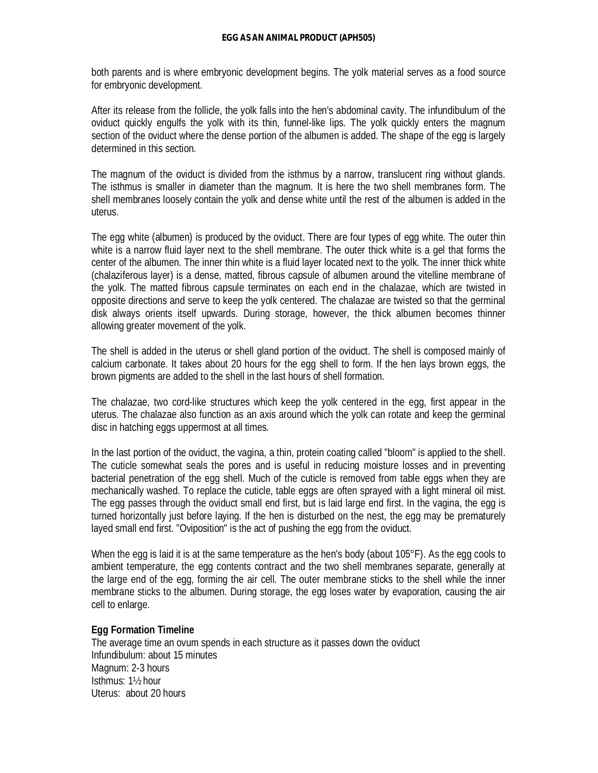both parents and is where embryonic development begins. The yolk material serves as a food source for embryonic development.

After its release from the follicle, the yolk falls into the hen's abdominal cavity. The infundibulum of the oviduct quickly engulfs the yolk with its thin, funnel-like lips. The yolk quickly enters the magnum section of the oviduct where the dense portion of the albumen is added. The shape of the egg is largely determined in this section.

The magnum of the oviduct is divided from the isthmus by a narrow, translucent ring without glands. The isthmus is smaller in diameter than the magnum. It is here the two shell membranes form. The shell membranes loosely contain the yolk and dense white until the rest of the albumen is added in the uterus.

The egg white (albumen) is produced by the oviduct. There are four types of egg white. The outer thin white is a narrow fluid layer next to the shell membrane. The outer thick white is a gel that forms the center of the albumen. The inner thin white is a fluid layer located next to the yolk. The inner thick white (chalaziferous layer) is a dense, matted, fibrous capsule of albumen around the vitelline membrane of the yolk. The matted fibrous capsule terminates on each end in the chalazae, which are twisted in opposite directions and serve to keep the yolk centered. The chalazae are twisted so that the germinal disk always orients itself upwards. During storage, however, the thick albumen becomes thinner allowing greater movement of the yolk.

The shell is added in the uterus or shell gland portion of the oviduct. The shell is composed mainly of calcium carbonate. It takes about 20 hours for the egg shell to form. If the hen lays brown eggs, the brown pigments are added to the shell in the last hours of shell formation.

The chalazae, two cord-like structures which keep the yolk centered in the egg, first appear in the uterus. The chalazae also function as an axis around which the yolk can rotate and keep the germinal disc in hatching eggs uppermost at all times.

In the last portion of the oviduct, the vagina, a thin, protein coating called "bloom" is applied to the shell. The cuticle somewhat seals the pores and is useful in reducing moisture losses and in preventing bacterial penetration of the egg shell. Much of the cuticle is removed from table eggs when they are mechanically washed. To replace the cuticle, table eggs are often sprayed with a light mineral oil mist. The egg passes through the oviduct small end first, but is laid large end first. In the vagina, the egg is turned horizontally just before laying. If the hen is disturbed on the nest, the egg may be prematurely layed small end first. "Oviposition" is the act of pushing the egg from the oviduct.

When the egg is laid it is at the same temperature as the hen's body (about 105°F). As the egg cools to ambient temperature, the egg contents contract and the two shell membranes separate, generally at the large end of the egg, forming the air cell. The outer membrane sticks to the shell while the inner membrane sticks to the albumen. During storage, the egg loses water by evaporation, causing the air cell to enlarge.

#### **Egg Formation Timeline**

The average time an ovum spends in each structure as it passes down the oviduct Infundibulum: about 15 minutes Magnum: 2-3 hours Isthmus: 1½ hour Uterus: about 20 hours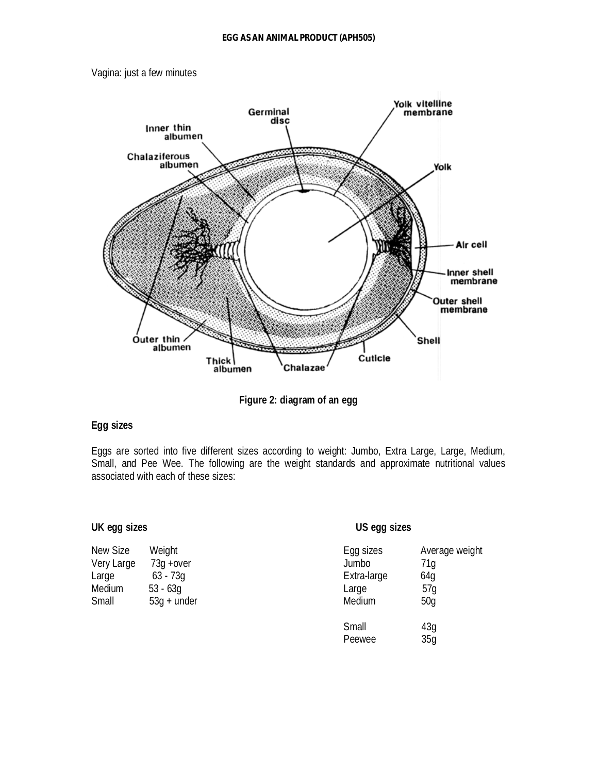



**Figure 2: diagram of an egg**

#### **Egg sizes**

Eggs are sorted into five different sizes according to weight: Jumbo, Extra Large, Large, Medium, Small, and Pee Wee. The following are the weight standards and approximate nutritional values associated with each of these sizes:

#### **UK egg sizes US egg sizes**

| New Size   | Weight        | Egg sizes   | Ave |
|------------|---------------|-------------|-----|
| Very Large | $73q + over$  | Jumbo       | 71g |
| Large      | $63 - 73q$    | Extra-large | 64g |
| Medium     | $53 - 63q$    | Large       | 57g |
| Small      | $53q + under$ | Medium      | 50g |

| New Size   | Weight        | Egg sizes   | Average weight |
|------------|---------------|-------------|----------------|
| Very Large | $73q + over$  | Jumbo       | 71g            |
| Large      | $63 - 73q$    | Extra-large | 64q            |
| Medium     | $53 - 63g$    | Large       | 57q            |
| Small      | $53q +$ under | Medium      | 50q            |
|            |               | Small       | 43q            |
|            |               | Peewee      | 35q            |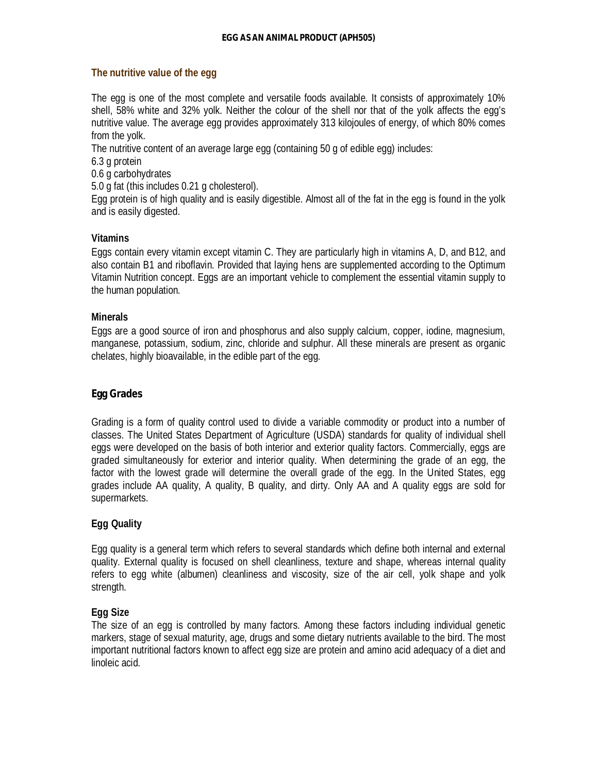#### **The nutritive value of the egg**

The egg is one of the most complete and versatile foods available. It consists of approximately 10% shell, 58% white and 32% yolk. Neither the colour of the shell nor that of the yolk affects the egg's nutritive value. The average egg provides approximately 313 kilojoules of energy, of which 80% comes from the yolk.

The nutritive content of an average large egg (containing 50 g of edible egg) includes:

6.3 g protein

0.6 g carbohydrates

5.0 g fat (this includes 0.21 g cholesterol).

Egg protein is of high quality and is easily digestible. Almost all of the fat in the egg is found in the yolk and is easily digested.

#### **Vitamins**

Eggs contain every vitamin except vitamin C. They are particularly high in vitamins A, D, and B12, and also contain B1 and riboflavin. Provided that laying hens are supplemented according to the Optimum Vitamin Nutrition concept. Eggs are an important vehicle to complement the essential vitamin supply to the human population.

#### **Minerals**

Eggs are a good source of iron and phosphorus and also supply calcium, copper, iodine, magnesium, manganese, potassium, sodium, zinc, chloride and sulphur. All these minerals are present as organic chelates, highly bioavailable, in the edible part of the egg.

### **Egg Grades**

Grading is a form of quality control used to divide a variable commodity or product into a number of classes. The United States Department of Agriculture (USDA) standards for quality of individual shell eggs were developed on the basis of both interior and exterior quality factors. Commercially, eggs are graded simultaneously for exterior and interior quality. When determining the grade of an egg, the factor with the lowest grade will determine the overall grade of the egg. In the United States, egg grades include AA quality, A quality, B quality, and dirty. Only AA and A quality eggs are sold for supermarkets.

### **Egg Quality**

Egg quality is a general term which refers to several standards which define both internal and external quality. External quality is focused on shell cleanliness, texture and shape, whereas internal quality refers to egg white (albumen) cleanliness and viscosity, size of the air cell, yolk shape and yolk strength.

### **Egg Size**

The size of an egg is controlled by many factors. Among these factors including individual genetic markers, stage of sexual maturity, age, drugs and some dietary nutrients available to the bird. The most important nutritional factors known to affect egg size are protein and amino acid adequacy of a diet and linoleic acid.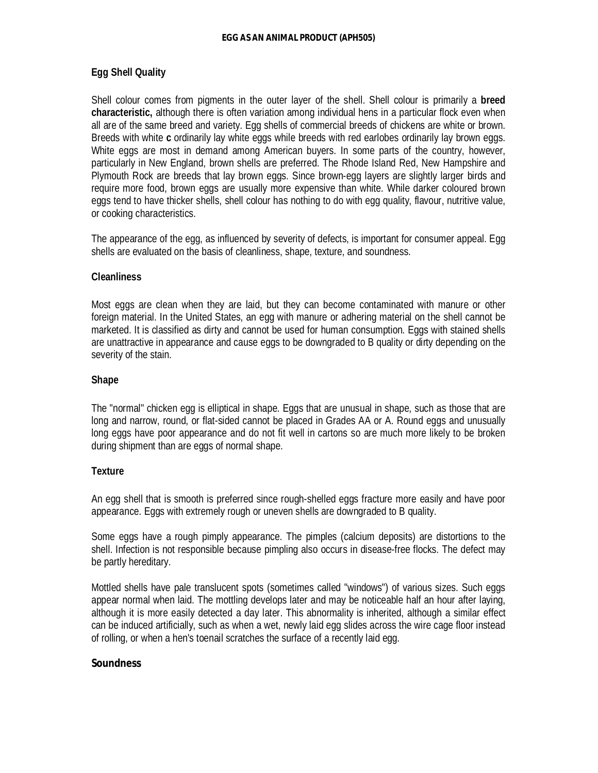#### **Egg Shell Quality**

Shell colour comes from pigments in the outer layer of the shell. Shell colour is primarily a **breed characteristic,** although there is often variation among individual hens in a particular flock even when all are of the same breed and variety. Egg shells of commercial breeds of chickens are white or brown. Breeds with white **c** ordinarily lay white eggs while breeds with red earlobes ordinarily lay brown eggs. White eggs are most in demand among American buyers. In some parts of the country, however, particularly in New England, brown shells are preferred. The Rhode Island Red, New Hampshire and Plymouth Rock are breeds that lay brown eggs. Since brown-egg layers are slightly larger birds and require more food, brown eggs are usually more expensive than white. While darker coloured brown eggs tend to have thicker shells, shell colour has nothing to do with egg quality, flavour, nutritive value, or cooking characteristics.

The appearance of the egg, as influenced by severity of defects, is important for consumer appeal. Egg shells are evaluated on the basis of cleanliness, shape, texture, and soundness.

#### **Cleanliness**

Most eggs are clean when they are laid, but they can become contaminated with manure or other foreign material. In the United States, an egg with manure or adhering material on the shell cannot be marketed. It is classified as dirty and cannot be used for human consumption. Eggs with stained shells are unattractive in appearance and cause eggs to be downgraded to B quality or dirty depending on the severity of the stain.

#### **Shape**

The "normal" chicken egg is elliptical in shape. Eggs that are unusual in shape, such as those that are long and narrow, round, or flat-sided cannot be placed in Grades AA or A. Round eggs and unusually long eggs have poor appearance and do not fit well in cartons so are much more likely to be broken during shipment than are eggs of normal shape.

#### **Texture**

An egg shell that is smooth is preferred since rough-shelled eggs fracture more easily and have poor appearance. Eggs with extremely rough or uneven shells are downgraded to B quality.

Some eggs have a rough pimply appearance. The pimples (calcium deposits) are distortions to the shell. Infection is not responsible because pimpling also occurs in disease-free flocks. The defect may be partly hereditary.

Mottled shells have pale translucent spots (sometimes called "windows") of various sizes. Such eggs appear normal when laid. The mottling develops later and may be noticeable half an hour after laying, although it is more easily detected a day later. This abnormality is inherited, although a similar effect can be induced artificially, such as when a wet, newly laid egg slides across the wire cage floor instead of rolling, or when a hen's toenail scratches the surface of a recently laid egg.

#### **Soundness**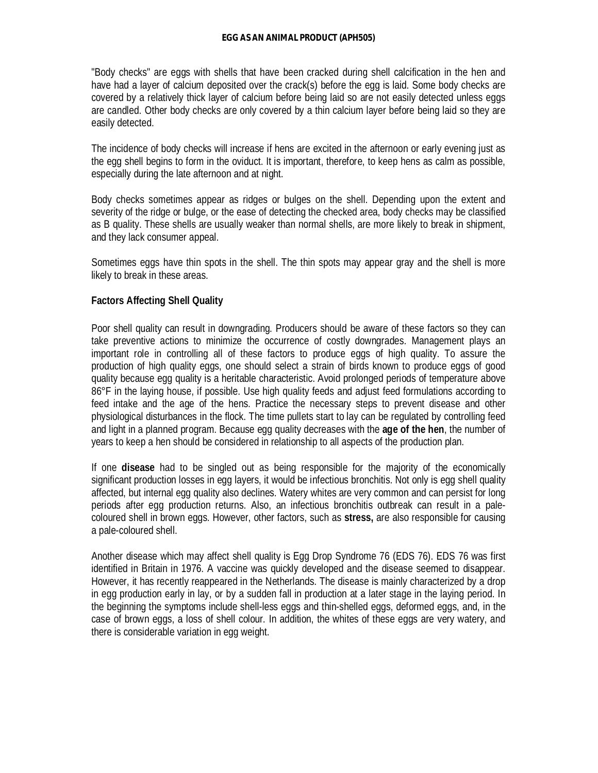"Body checks" are eggs with shells that have been cracked during shell calcification in the hen and have had a layer of calcium deposited over the crack(s) before the egg is laid. Some body checks are covered by a relatively thick layer of calcium before being laid so are not easily detected unless eggs are candled. Other body checks are only covered by a thin calcium layer before being laid so they are easily detected.

The incidence of body checks will increase if hens are excited in the afternoon or early evening just as the egg shell begins to form in the oviduct. It is important, therefore, to keep hens as calm as possible, especially during the late afternoon and at night.

Body checks sometimes appear as ridges or bulges on the shell. Depending upon the extent and severity of the ridge or bulge, or the ease of detecting the checked area, body checks may be classified as B quality. These shells are usually weaker than normal shells, are more likely to break in shipment, and they lack consumer appeal.

Sometimes eggs have thin spots in the shell. The thin spots may appear gray and the shell is more likely to break in these areas.

### **Factors Affecting Shell Quality**

Poor shell quality can result in downgrading. Producers should be aware of these factors so they can take preventive actions to minimize the occurrence of costly downgrades. Management plays an important role in controlling all of these factors to produce eggs of high quality. To assure the production of high quality eggs, one should select a strain of birds known to produce eggs of good quality because egg quality is a heritable characteristic. Avoid prolonged periods of temperature above 86°F in the laying house, if possible. Use high quality feeds and adjust feed formulations according to feed intake and the age of the hens. Practice the necessary steps to prevent disease and other physiological disturbances in the flock. The time pullets start to lay can be regulated by controlling feed and light in a planned program. Because egg quality decreases with the **age of the hen**, the number of years to keep a hen should be considered in relationship to all aspects of the production plan.

If one **disease** had to be singled out as being responsible for the majority of the economically significant production losses in egg layers, it would be infectious bronchitis. Not only is egg shell quality affected, but internal egg quality also declines. Watery whites are very common and can persist for long periods after egg production returns. Also, an infectious bronchitis outbreak can result in a palecoloured shell in brown eggs. However, other factors, such as **stress,** are also responsible for causing a pale-coloured shell.

Another disease which may affect shell quality is Egg Drop Syndrome 76 (EDS 76). EDS 76 was first identified in Britain in 1976. A vaccine was quickly developed and the disease seemed to disappear. However, it has recently reappeared in the Netherlands. The disease is mainly characterized by a drop in egg production early in lay, or by a sudden fall in production at a later stage in the laying period. In the beginning the symptoms include shell-less eggs and thin-shelled eggs, deformed eggs, and, in the case of brown eggs, a loss of shell colour. In addition, the whites of these eggs are very watery, and there is considerable variation in egg weight.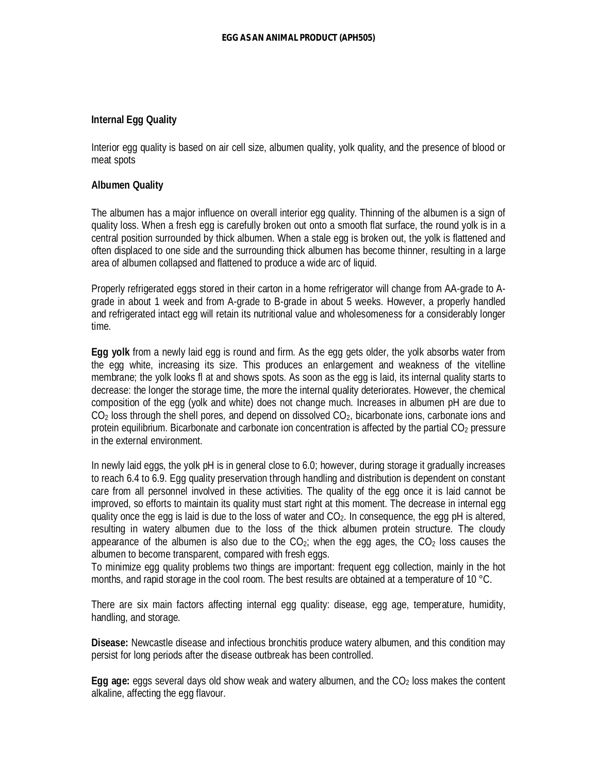#### **Internal Egg Quality**

Interior egg quality is based on air cell size, albumen quality, yolk quality, and the presence of blood or meat spots

#### **Albumen Quality**

The albumen has a major influence on overall interior egg quality. Thinning of the albumen is a sign of quality loss. When a fresh egg is carefully broken out onto a smooth flat surface, the round yolk is in a central position surrounded by thick albumen. When a stale egg is broken out, the yolk is flattened and often displaced to one side and the surrounding thick albumen has become thinner, resulting in a large area of albumen collapsed and flattened to produce a wide arc of liquid.

Properly refrigerated eggs stored in their carton in a home refrigerator will change from AA-grade to Agrade in about 1 week and from A-grade to B-grade in about 5 weeks. However, a properly handled and refrigerated intact egg will retain its nutritional value and wholesomeness for a considerably longer time.

**Egg yolk** from a newly laid egg is round and firm. As the egg gets older, the yolk absorbs water from the egg white, increasing its size. This produces an enlargement and weakness of the vitelline membrane; the yolk looks fl at and shows spots. As soon as the egg is laid, its internal quality starts to decrease: the longer the storage time, the more the internal quality deteriorates. However, the chemical composition of the egg (yolk and white) does not change much. Increases in albumen pH are due to  $CO<sub>2</sub>$  loss through the shell pores, and depend on dissolved  $CO<sub>2</sub>$ , bicarbonate ions, carbonate ions and protein equilibrium. Bicarbonate and carbonate ion concentration is affected by the partial CO<sub>2</sub> pressure in the external environment.

In newly laid eggs, the yolk pH is in general close to 6.0; however, during storage it gradually increases to reach 6.4 to 6.9. Egg quality preservation through handling and distribution is dependent on constant care from all personnel involved in these activities. The quality of the egg once it is laid cannot be improved, so efforts to maintain its quality must start right at this moment. The decrease in internal egg quality once the egg is laid is due to the loss of water and  $CO<sub>2</sub>$ . In consequence, the egg pH is altered, resulting in watery albumen due to the loss of the thick albumen protein structure. The cloudy appearance of the albumen is also due to the  $CO<sub>2</sub>$ ; when the egg ages, the  $CO<sub>2</sub>$  loss causes the albumen to become transparent, compared with fresh eggs.

To minimize egg quality problems two things are important: frequent egg collection, mainly in the hot months, and rapid storage in the cool room. The best results are obtained at a temperature of 10 °C.

There are six main factors affecting internal egg quality: disease, egg age, temperature, humidity, handling, and storage.

**Disease:** Newcastle disease and infectious bronchitis produce watery albumen, and this condition may persist for long periods after the disease outbreak has been controlled.

**Egg age:** eggs several days old show weak and watery albumen, and the CO<sub>2</sub> loss makes the content alkaline, affecting the egg flavour.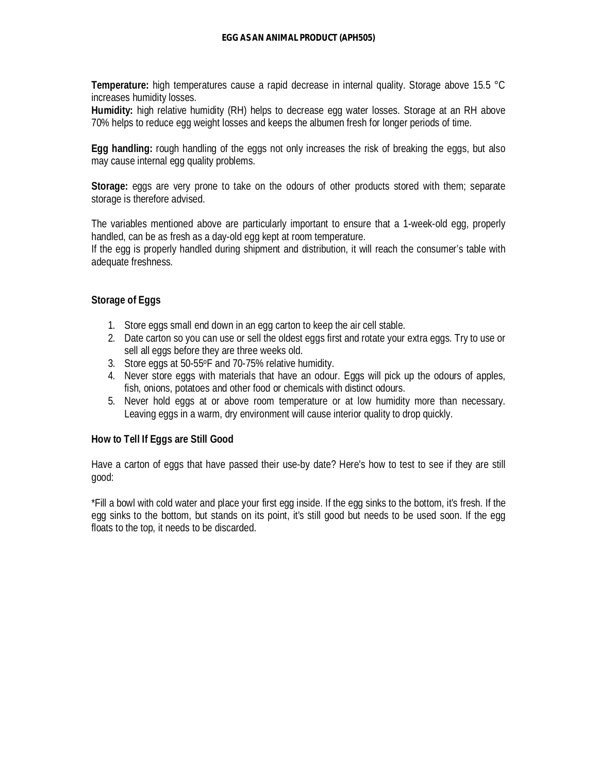**Temperature:** high temperatures cause a rapid decrease in internal quality. Storage above 15.5 °C increases humidity losses.

**Humidity:** high relative humidity (RH) helps to decrease egg water losses. Storage at an RH above 70% helps to reduce egg weight losses and keeps the albumen fresh for longer periods of time.

**Egg handling:** rough handling of the eggs not only increases the risk of breaking the eggs, but also may cause internal egg quality problems.

**Storage:** eggs are very prone to take on the odours of other products stored with them; separate storage is therefore advised.

The variables mentioned above are particularly important to ensure that a 1-week-old egg, properly handled, can be as fresh as a day-old egg kept at room temperature.

If the egg is properly handled during shipment and distribution, it will reach the consumer's table with adequate freshness.

#### **Storage of Eggs**

- 1. Store eggs small end down in an egg carton to keep the air cell stable.
- 2. Date carton so you can use or sell the oldest eggs first and rotate your extra eggs. Try to use or sell all eggs before they are three weeks old.
- 3. Store eggs at 50-55oF and 70-75% relative humidity.
- 4. Never store eggs with materials that have an odour. Eggs will pick up the odours of apples, fish, onions, potatoes and other food or chemicals with distinct odours.
- 5. Never hold eggs at or above room temperature or at low humidity more than necessary. Leaving eggs in a warm, dry environment will cause interior quality to drop quickly.

#### **How to Tell If Eggs are Still Good**

Have a carton of eggs that have passed their use-by date? Here's how to test to see if they are still good:

\*Fill a bowl with cold water and place your first egg inside. If the egg sinks to the bottom, it's fresh. If the egg sinks to the bottom, but stands on its point, it's still good but needs to be used soon. If the egg floats to the top, it needs to be discarded.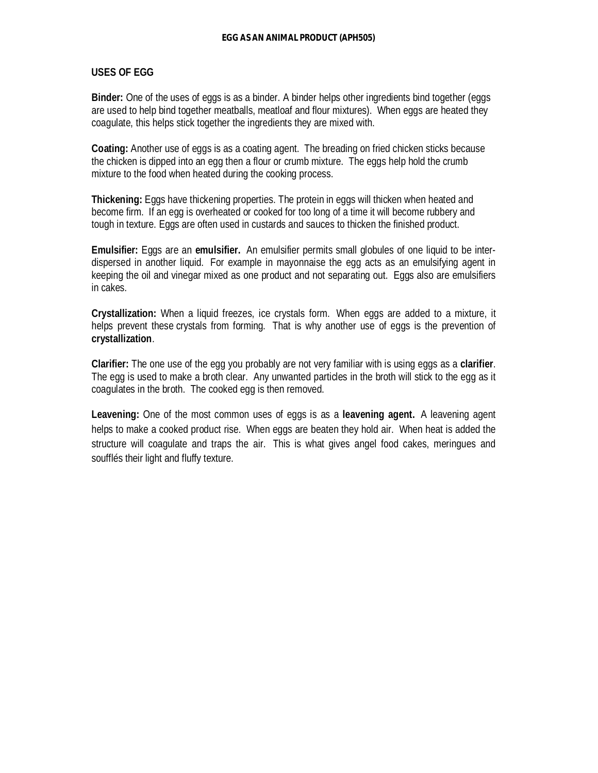#### **USES OF EGG**

**Binder:** One of the uses of eggs is as a binder. A binder helps other ingredients bind together (eggs are used to help bind together meatballs, meatloaf and flour mixtures). When eggs are heated they coagulate, this helps stick together the ingredients they are mixed with.

**Coating:** Another use of eggs is as a coating agent. The breading on fried chicken sticks because the chicken is dipped into an egg then a flour or crumb mixture. The eggs help hold the crumb mixture to the food when heated during the cooking process.

**Thickening:** Eggs have thickening properties. The protein in eggs will thicken when heated and become firm. If an egg is overheated or cooked for too long of a time it will become rubbery and tough in texture. Eggs are often used in custards and sauces to thicken the finished product.

**Emulsifier:** Eggs are an **emulsifier.** An emulsifier permits small globules of one liquid to be interdispersed in another liquid. For example in mayonnaise the egg acts as an emulsifying agent in keeping the oil and vinegar mixed as one product and not separating out. Eggs also are emulsifiers in cakes.

**Crystallization:** When a liquid freezes, ice crystals form. When eggs are added to a mixture, it helps prevent these crystals from forming. That is why another use of eggs is the prevention of **crystallization**.

**Clarifier:** The one use of the egg you probably are not very familiar with is using eggs as a **clarifier**. The egg is used to make a broth clear. Any unwanted particles in the broth will stick to the egg as it coagulates in the broth. The cooked egg is then removed.

**Leavening:** One of the most common uses of eggs is as a **leavening agent.** A leavening agent helps to make a cooked product rise. When eggs are beaten they hold air. When heat is added the structure will coagulate and traps the air. This is what gives angel food cakes, meringues and soufflés their light and fluffy texture.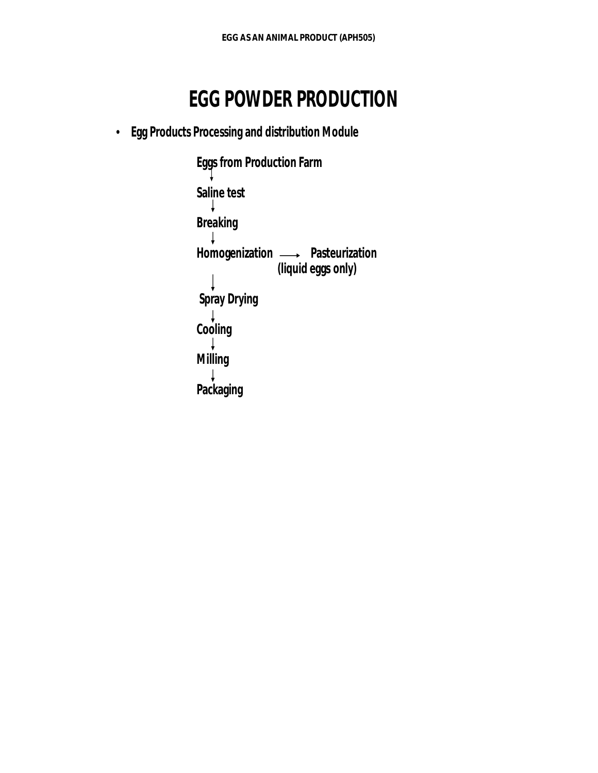## **EGG POWDER PRODUCTION**

• **Egg Products Processing and distribution Module**

**Eggs from Production Farm Saline test Breaking** Homogenization **- Pasteurization (liquid eggs only) Spray Drying Cooling Milling Packaging**